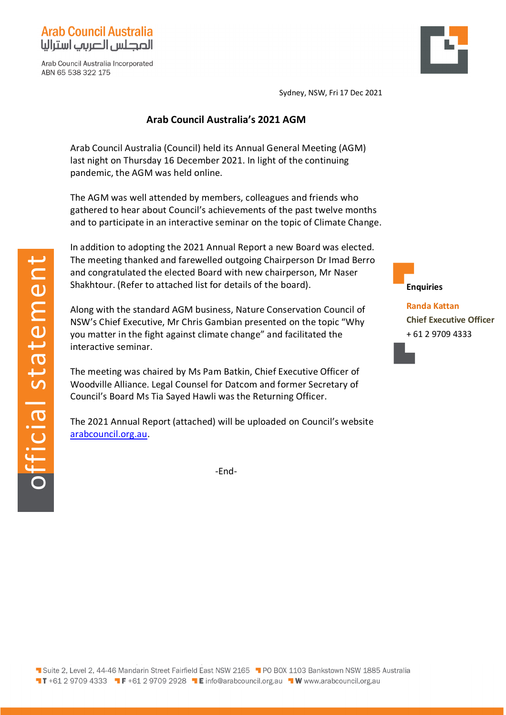

Arab Council Australia Incorporated ABN 65 538 322 175



Sydney, NSW, Fri 17 Dec 2021

## **Arab Council Australia's 2021 AGM**

Arab Council Australia (Council) held its Annual General Meeting (AGM) last night on Thursday 16 December 2021. In light of the continuing pandemic, the AGM was held online.

The AGM was well attended by members, colleagues and friends who gathered to hear about Council's achievements of the past twelve months and to participate in an interactive seminar on the topic of Climate Change.

In addition to adopting the 2021 Annual Report a new Board was elected. The meeting thanked and farewelled outgoing Chairperson Dr Imad Berro and congratulated the elected Board with new chairperson, Mr Naser Shakhtour. (Refer to attached list for details of the board).

Along with the standard AGM business, Nature Conservation Council of NSW's Chief Executive, Mr Chris Gambian presented on the topic "Why you matter in the fight against climate change" and facilitated the interactive seminar.

The meeting was chaired by Ms Pam Batkin, Chief Executive Officer of Woodville Alliance. Legal Counsel for Datcom and former Secretary of Council's Board Ms Tia Sayed Hawli was the Returning Officer.

The 2021 Annual Report (attached) will be uploaded on Council's website [arabcouncil.org.au.](http://www.arabcouncil.org.au/)

-End-



**Randa Kattan Chief Executive Officer** + 61 2 9709 4333